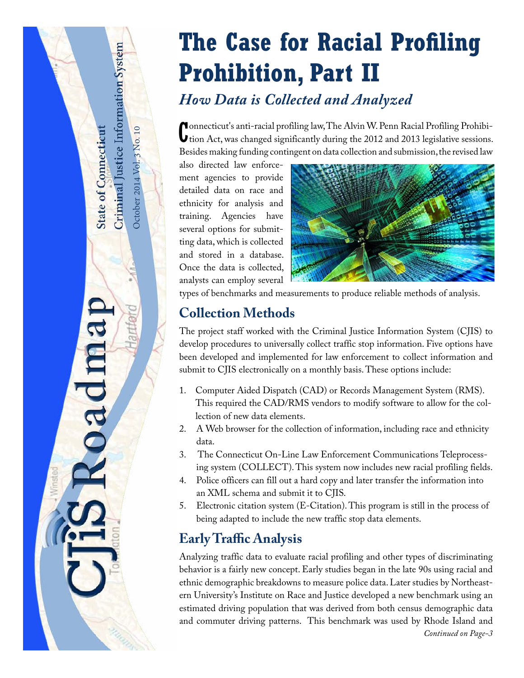# **The Case for Racial Profiling Prohibition, Part II**

# *How Data is Collected and Analyzed*

Connecticut's anti-racial profiling law, The Alvin W. Penn Racial Profiling Prohibition Act, was changed significantly during the 2012 and 2013 legislative sessions. onnecticut's anti-racial profiling law, The Alvin W. Penn Racial Profiling Prohibi-Besides making funding contingent on data collection and submission, the revised law

also directed law enforcement agencies to provide detailed data on race and ethnicity for analysis and training. Agencies have several options for submitting data, which is collected and stored in a database. Once the data is collected, analysts can employ several

October 2014 Vol. 3 No. 10

October 2014 Vol. 3 No. 10

<span id="page-0-0"></span>Criminal Justice Information System

**State of Connecticut** 

oadma



types of benchmarks and measurements to produce reliable methods of analysis.

# **Collection Methods**

The project staff worked with the Criminal Justice Information System (CJIS) to develop procedures to universally collect traffic stop information. Five options have been developed and implemented for law enforcement to collect information and submit to CJIS electronically on a monthly basis. These options include:

- 1. Computer Aided Dispatch (CAD) or Records Management System (RMS). This required the CAD/RMS vendors to modify software to allow for the collection of new data elements.
- 2. A Web browser for the collection of information, including race and ethnicity data.
- 3. The Connecticut On-Line Law Enforcement Communications Teleprocessing system (COLLECT). This system now includes new racial profiling fields.
- 4. Police officers can fill out a hard copy and later transfer the information into an XML schema and submit it to CJIS.
- 5. Electronic citation system (E-Citation). This program is still in the process of being adapted to include the new traffic stop data elements.

# **Early Traffic Analysis**

Analyzing traffic data to evaluate racial profiling and other types of discriminating behavior is a fairly new concept. Early studies began in the late 90s using racial and ethnic demographic breakdowns to measure police data. Later studies by Northeastern University's Institute on Race and Justice developed a new benchmark using an estimated driving population that was derived from both census demographic data and commuter driving patterns. This benchmark was used by Rhode Island and *Continued on Page-3*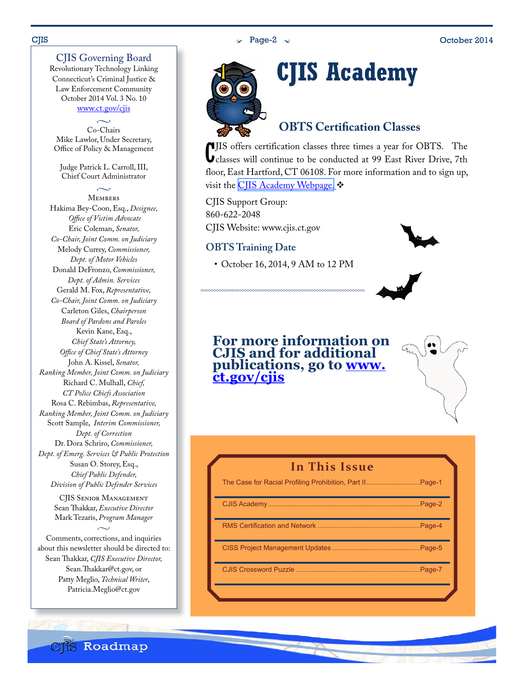### CJIS Governing Board

Revolutionary Technology Linking Connecticut's Criminal Justice & Law Enforcement Community October 2014 Vol. 3 No. 10 www.ct.gov/cjis

 $\sim$ Co-Chairs Mike Lawlor, Under Secretary, Office of Policy & Management

Judge Patrick L. Carroll, III, Chief Court Administrator

 $\sim$ Members Hakima Bey-Coon, Esq., *Designee, Office of Victim Advocate* Eric Coleman, *Senator, Co-Chair, Joint Comm. on Judiciary* Melody Currey, *Commissioner, Dept. of Motor Vehicles* Donald DeFronzo, *Commissioner, Dept. of Admin. Services* Gerald M. Fox, *Representative, Co-Chair, Joint Comm. on Judiciary* Carleton Giles, *Chairperson Board of Pardons and Paroles* Kevin Kane, Esq., *Chief State's Attorney, Office of Chief State's Attorney* John A. Kissel, *Senator, Ranking Member, Joint Comm. on Judiciary* Richard C. Mulhall, *Chief, CT Police Chiefs Association* Rosa C. Rebimbas, *Representative, Ranking Member, Joint Comm. on Judiciary* Scott Sample, *Interim Commissioner, Dept. of Correction*  Dr. Dora Schriro, *Commissioner, Dept. of Emerg. Services & Public Protection* Susan O. Storey, Esq., *Chief Public Defender, Division of Public Defender Services*

CJIS Senior Management Sean Thakkar, *Executive Director* Mark Tezaris, *Program Manager*

 $\sim$ 

Comments, corrections, and inquiries about this newsletter should be directed to: Sean Thakkar, *CJIS Executive Director,* Sean.Thakkar@ct.gov, or Patty Meglio, *Technical Writer*, Patricia.Meglio@ct.gov



# **CJIS Academy**

### **OBTS Certification Classes**

C classes will continue to be conducted at 99 East River Drive, 7th JIS offers certification classes three times a year for OBTS. The floor, East Hartford, CT 06108. For more information and to sign up, visit the CIIS Academy Webpage.

CJIS Support Group: 860-622-2048 CJIS Website: www.cjis.ct.gov

#### **OBTS Training Date**

• October 16, 2014, 9 AM to 12 PM



**For more information on CJIS and for additional publications, go to [www.](http://www.ct.gov/cjis/site/default.asp) [ct.gov/cjis](http://www.ct.gov/cjis/site/default.asp)**



| In This Issue                                            |  |
|----------------------------------------------------------|--|
| The Case for Racial Profiling Prohibition, Part IIPage-1 |  |
|                                                          |  |
|                                                          |  |
|                                                          |  |
|                                                          |  |

**CIIS Roadmap**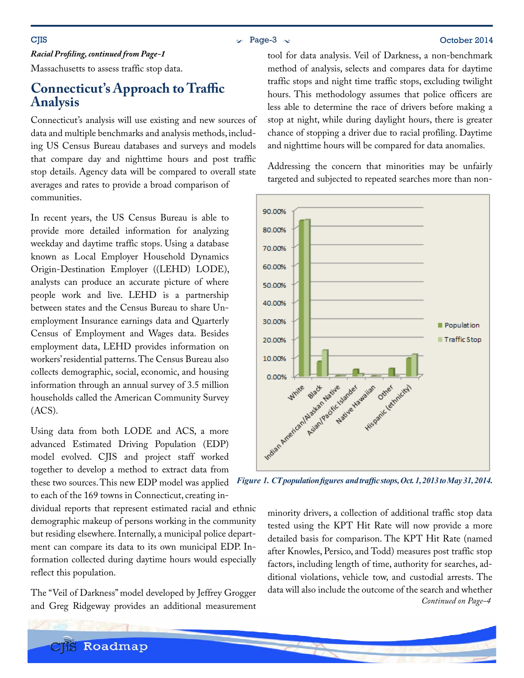### $\sim$  Page-3  $\sim$  Page-3  $\sim$  October 2014

*Racial Profiling, continued from Page-1*

Massachusetts to assess traffic stop data.

## **Connecticut's Approach to Traffic Analysis**

Connecticut's analysis will use existing and new sources of data and multiple benchmarks and analysis methods, including US Census Bureau databases and surveys and models that compare day and nighttime hours and post traffic stop details. Agency data will be compared to overall state averages and rates to provide a broad comparison of communities.

In recent years, the US Census Bureau is able to provide more detailed information for analyzing weekday and daytime traffic stops. Using a database known as Local Employer Household Dynamics Origin-Destination Employer ((LEHD) LODE), analysts can produce an accurate picture of where people work and live. LEHD is a partnership between states and the Census Bureau to share Unemployment Insurance earnings data and Quarterly Census of Employment and Wages data. Besides employment data, LEHD provides information on workers' residential patterns. The Census Bureau also collects demographic, social, economic, and housing information through an annual survey of 3.5 million households called the American Community Survey (ACS).

Using data from both LODE and ACS, a more advanced Estimated Driving Population (EDP) model evolved. CJIS and project staff worked together to develop a method to extract data from these two sources. This new EDP model was applied

to each of the 169 towns in Connecticut, creating in-

dividual reports that represent estimated racial and ethnic demographic makeup of persons working in the community but residing elsewhere. Internally, a municipal police department can compare its data to its own municipal EDP. Information collected during daytime hours would especially reflect this population.

The "Veil of Darkness" model developed by Jeffrey Grogger and Greg Ridgeway provides an additional measurement

tool for data analysis. Veil of Darkness, a non-benchmark method of analysis, selects and compares data for daytime traffic stops and night time traffic stops, excluding twilight hours. This methodology assumes that police officers are less able to determine the race of drivers before making a stop at night, while during daylight hours, there is greater chance of stopping a driver due to racial profiling. Daytime and nighttime hours will be compared for data anomalies.

Addressing the concern that minorities may be unfairly targeted and subjected to repeated searches more than non-



*Figure 1. CT population figures and traffic stops, Oct. 1, 2013 to May 31, 2014.*

minority drivers, a collection of additional traffic stop data tested using the KPT Hit Rate will now provide a more detailed basis for comparison. The KPT Hit Rate (named after Knowles, Persico, and Todd) measures post traffic stop factors, including length of time, authority for searches, additional violations, vehicle tow, and custodial arrests. The data will also include the outcome of the search and whether *Continued on Page-4*

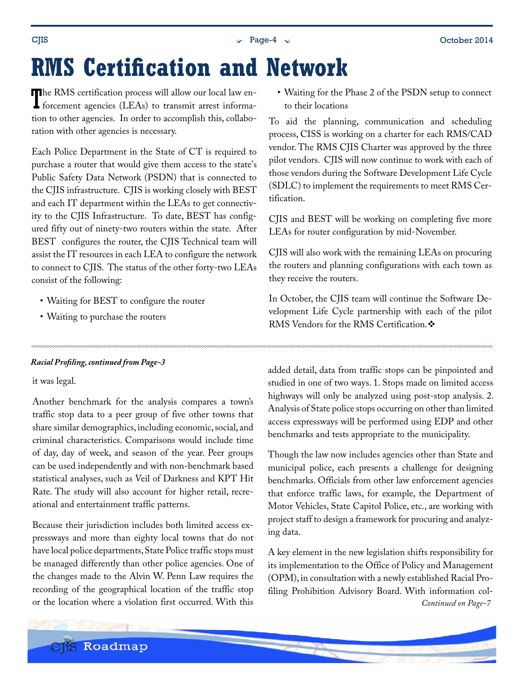# <span id="page-3-0"></span>**RMS Certification and Network**

The RMS certification process will allow our local law enforcement agencies (LEAs) to transmit arrest informa-The RMS certification process will allow our local law ention to other agencies. In order to accomplish this, collaboration with other agencies is necessary.

Each Police Department in the State of CT is required to purchase a router that would give them access to the state's Public Safety Data Network (PSDN) that is connected to the CJIS infrastructure. CJIS is working closely with BEST and each IT department within the LEAs to get connectivity to the CJIS Infrastructure. To date, BEST has configured fifty out of ninety-two routers within the state. After BEST configures the router, the CJIS Technical team will assist the IT resources in each LEA to configure the network to connect to CJIS. The status of the other forty-two LEAs consist of the following:

- Waiting for BEST to configure the router
- Waiting to purchase the routers

#### *Racial Profiling, continued from Page-3*

it was legal.

Another benchmark for the analysis compares a town's traffic stop data to a peer group of five other towns that share similar demographics, including economic, social, and criminal characteristics. Comparisons would include time of day, day of week, and season of the year. Peer groups can be used independently and with non-benchmark based statistical analyses, such as Veil of Darkness and KPT Hit Rate. The study will also account for higher retail, recreational and entertainment traffic patterns.

Because their jurisdiction includes both limited access expressways and more than eighty local towns that do not have local police departments, State Police traffic stops must be managed differently than other police agencies. One of the changes made to the Alvin W. Penn Law requires the recording of the geographical location of the traffic stop or the location where a violation first occurred. With this • Waiting for the Phase 2 of the PSDN setup to connect to their locations

To aid the planning, communication and scheduling process, CISS is working on a charter for each RMS/CAD vendor. The RMS CJIS Charter was approved by the three pilot vendors. CJIS will now continue to work with each of those vendors during the Software Development Life Cycle (SDLC) to implement the requirements to meet RMS Certification.

CJIS and BEST will be working on completing five more LEAs for router configuration by mid-November.

CJIS will also work with the remaining LEAs on procuring the routers and planning configurations with each town as they receive the routers.

In October, the CJIS team will continue the Software Development Life Cycle partnership with each of the pilot RMS Vendors for the RMS Certification.

added detail, data from traffic stops can be pinpointed and studied in one of two ways. 1. Stops made on limited access highways will only be analyzed using post-stop analysis. 2. Analysis of State police stops occurring on other than limited access expressways will be performed using EDP and other benchmarks and tests appropriate to the municipality.

Though the law now includes agencies other than State and municipal police, each presents a challenge for designing benchmarks. Officials from other law enforcement agencies that enforce traffic laws, for example, the Department of Motor Vehicles, State Capitol Police, etc., are working with project staff to design a framework for procuring and analyzing data.

A key element in the new legislation shifts responsibility for its implementation to the Office of Policy and Management (OPM), in consultation with a newly established Racial Profiling Prohibition Advisory Board. With information col-*Continued on Page-7*

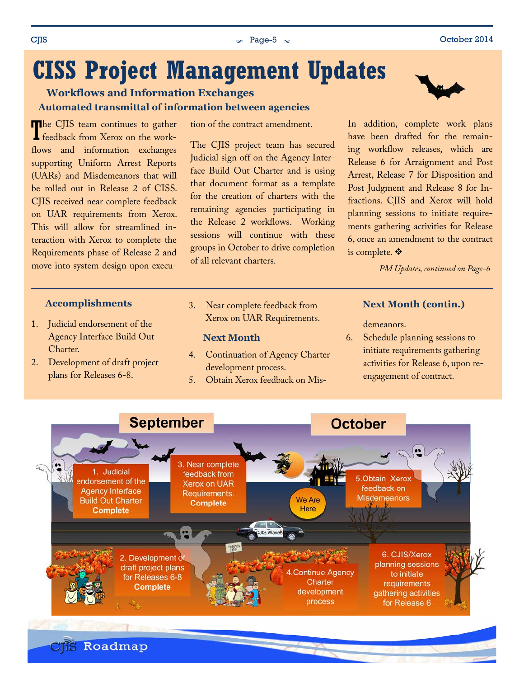# <span id="page-4-0"></span>**CISS Project Management Updates**

**Automated transmittal of information between agencies Workflows and Information Exchanges**

The CJIS team continues to gather<br>feedback from Xerox on the workfeedback from Xerox on the workflows and information exchanges supporting Uniform Arrest Reports (UARs) and Misdemeanors that will be rolled out in Release 2 of CISS. CJIS received near complete feedback on UAR requirements from Xerox. This will allow for streamlined interaction with Xerox to complete the Requirements phase of Release 2 and move into system design upon execu-

#### **Accomplishments**

- 1. Judicial endorsement of the Agency Interface Build Out Charter.
- 2. Development of draft project plans for Releases 6-8.

tion of the contract amendment.

The CJIS project team has secured Judicial sign off on the Agency Interface Build Out Charter and is using that document format as a template for the creation of charters with the remaining agencies participating in the Release 2 workflows. Working sessions will continue with these groups in October to drive completion of all relevant charters.

3. Near complete feedback from Xerox on UAR Requirements.

#### **Next Month**

- 4. Continuation of Agency Charter development process.
- 5. Obtain Xerox feedback on Mis-

In addition, complete work plans have been drafted for the remaining workflow releases, which are Release 6 for Arraignment and Post Arrest, Release 7 for Disposition and Post Judgment and Release 8 for Infractions. CJIS and Xerox will hold planning sessions to initiate requirements gathering activities for Release 6, once an amendment to the contract is complete. ❖

*PM Updates, continued on Page-6*

### **Next Month (contin.)**

demeanors.

6. Schedule planning sessions to initiate requirements gathering activities for Release 6, upon reengagement of contract.

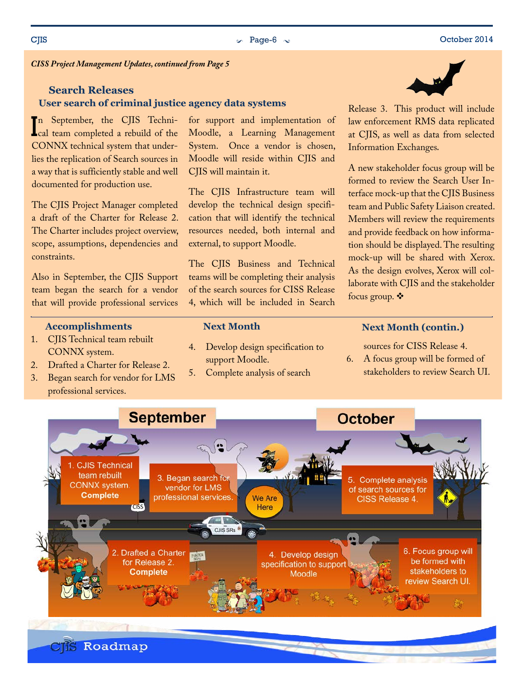*CISS Project Management Updates, continued from Page 5*

#### **User search of criminal justice agency data systems Search Releases**

In September, the CJIS Techni-<br>
Leal team completed a rebuild of the cal team completed a rebuild of the CONNX technical system that underlies the replication of Search sources in a way that is sufficiently stable and well documented for production use.

The CJIS Project Manager completed a draft of the Charter for Release 2. The Charter includes project overview, scope, assumptions, dependencies and constraints.

Also in September, the CJIS Support team began the search for a vendor that will provide professional services

#### **Accomplishments**

- 1. CJIS Technical team rebuilt CONNX system.
- 2. Drafted a Charter for Release 2.
- 3. Began search for vendor for LMS professional services.

for support and implementation of Moodle, a Learning Management System. Once a vendor is chosen, Moodle will reside within CJIS and CJIS will maintain it.

The CJIS Infrastructure team will develop the technical design specification that will identify the technical resources needed, both internal and external, to support Moodle.

The CJIS Business and Technical teams will be completing their analysis of the search sources for CISS Release 4, which will be included in Search

#### **Next Month**

- 4. Develop design specification to support Moodle.
- 5. Complete analysis of search

#### **Next Month (contin.)**

sources for CISS Release 4.

6. A focus group will be formed of stakeholders to review Search UI.





Release 3. This product will include law enforcement RMS data replicated at CJIS, as well as data from selected Information Exchanges.

A new stakeholder focus group will be formed to review the Search User Interface mock-up that the CJIS Business team and Public Safety Liaison created. Members will review the requirements and provide feedback on how information should be displayed. The resulting mock-up will be shared with Xerox. As the design evolves, Xerox will collaborate with CJIS and the stakeholder focus group. ❖